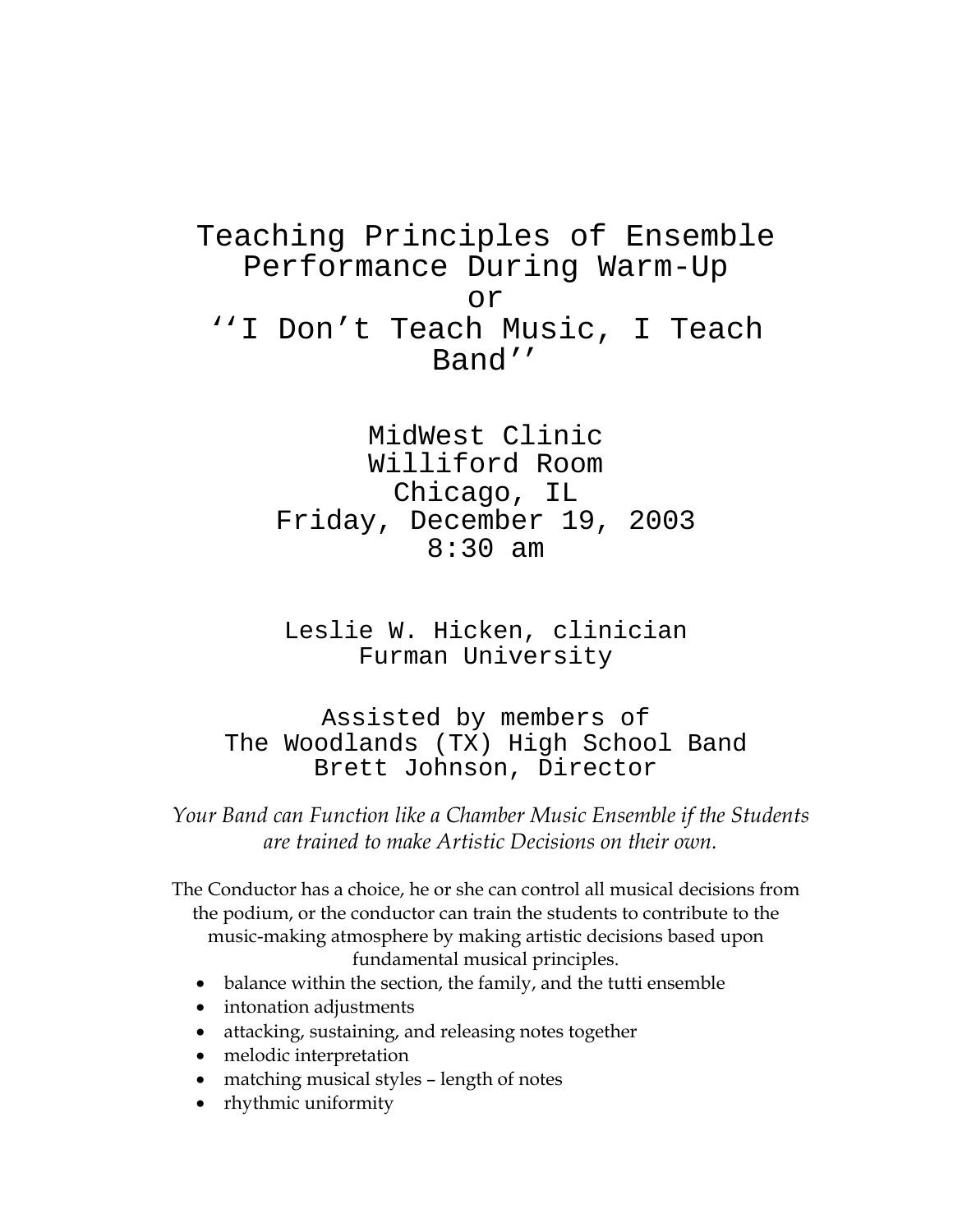Teaching Principles of Ensemble Performance During Warm-Up or ''I Don't Teach Music, I Teach Band''

> MidWest Clinic Williford Room Chicago, IL Friday, December 19, 2003 8:30 am

Leslie W. Hicken, clinician Furman University

Assisted by members of The Woodlands (TX) High School Band Brett Johnson, Director

*Your Band can Function like a Chamber Music Ensemble if the Students are trained to make Artistic Decisions on their own.* 

The Conductor has a choice, he or she can control all musical decisions from the podium, or the conductor can train the students to contribute to the music-making atmosphere by making artistic decisions based upon fundamental musical principles.

- balance within the section, the family, and the tutti ensemble
- intonation adjustments
- attacking, sustaining, and releasing notes together
- melodic interpretation
- matching musical styles length of notes
- rhythmic uniformity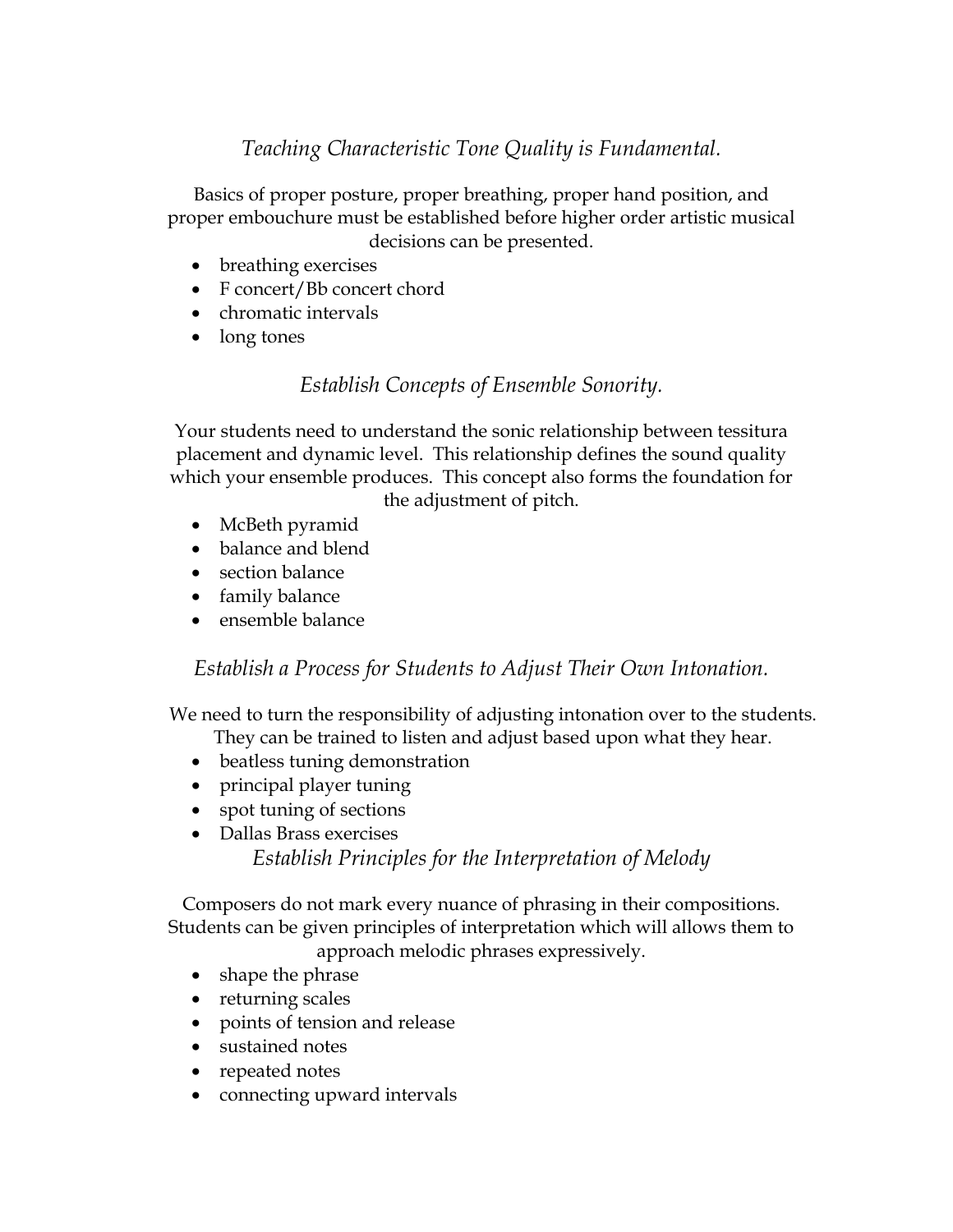# *Teaching Characteristic Tone Quality is Fundamental.*

Basics of proper posture, proper breathing, proper hand position, and proper embouchure must be established before higher order artistic musical decisions can be presented.

- breathing exercises
- F concert/Bb concert chord
- chromatic intervals
- long tones

## *Establish Concepts of Ensemble Sonority.*

Your students need to understand the sonic relationship between tessitura placement and dynamic level. This relationship defines the sound quality which your ensemble produces. This concept also forms the foundation for the adjustment of pitch.

- McBeth pyramid
- balance and blend
- section balance
- family balance
- ensemble balance

*Establish a Process for Students to Adjust Their Own Intonation.* 

We need to turn the responsibility of adjusting intonation over to the students.

- They can be trained to listen and adjust based upon what they hear.
- beatless tuning demonstration
- principal player tuning
- spot tuning of sections
- Dallas Brass exercises

*Establish Principles for the Interpretation of Melody* 

Composers do not mark every nuance of phrasing in their compositions. Students can be given principles of interpretation which will allows them to

approach melodic phrases expressively.

- shape the phrase
- returning scales
- points of tension and release
- sustained notes
- repeated notes
- connecting upward intervals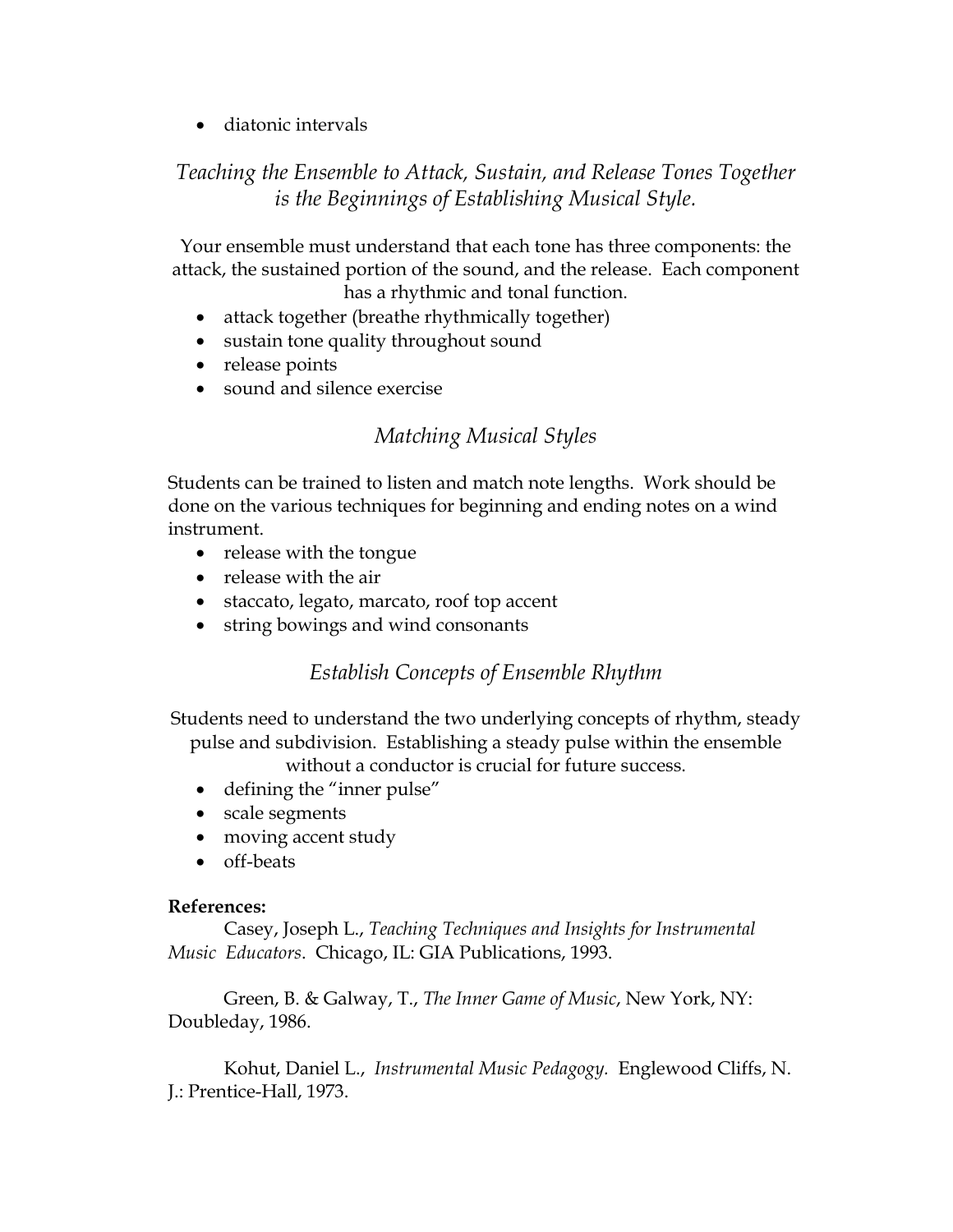• diatonic intervals

## *Teaching the Ensemble to Attack, Sustain, and Release Tones Together is the Beginnings of Establishing Musical Style.*

Your ensemble must understand that each tone has three components: the attack, the sustained portion of the sound, and the release. Each component has a rhythmic and tonal function.

- attack together (breathe rhythmically together)
- sustain tone quality throughout sound
- release points
- sound and silence exercise

#### *Matching Musical Styles*

Students can be trained to listen and match note lengths. Work should be done on the various techniques for beginning and ending notes on a wind instrument.

- release with the tongue
- release with the air
- staccato, legato, marcato, roof top accent
- string bowings and wind consonants

### *Establish Concepts of Ensemble Rhythm*

Students need to understand the two underlying concepts of rhythm, steady pulse and subdivision. Establishing a steady pulse within the ensemble

without a conductor is crucial for future success.

- defining the "inner pulse"
- scale segments
- moving accent study
- off-beats

#### **References:**

 Casey, Joseph L., *Teaching Techniques and Insights for Instrumental Music Educators*. Chicago, IL: GIA Publications, 1993.

 Green, B. & Galway, T., *The Inner Game of Music*, New York, NY: Doubleday, 1986.

 Kohut, Daniel L., *Instrumental Music Pedagogy.* Englewood Cliffs, N. J.: Prentice-Hall, 1973.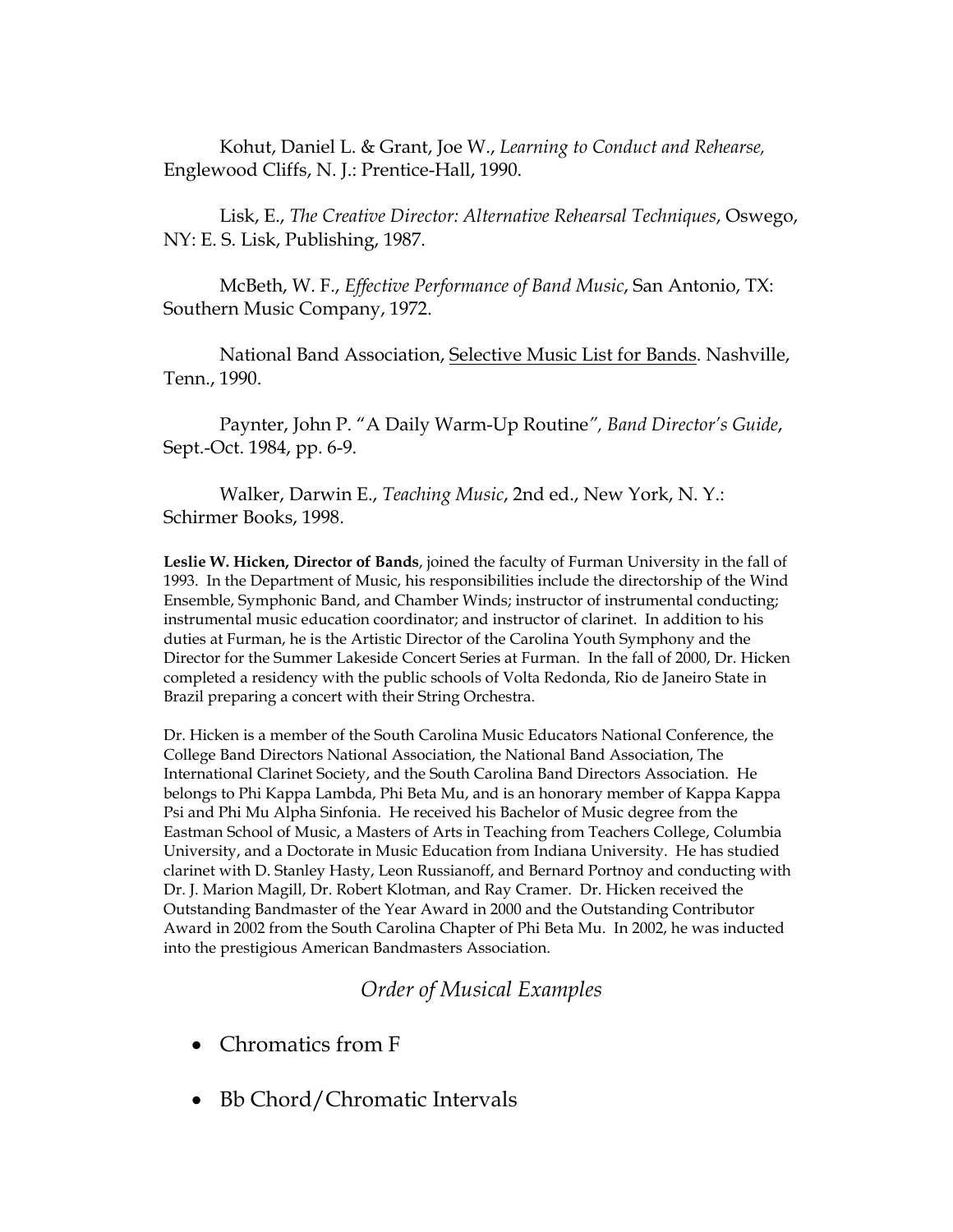Kohut, Daniel L. & Grant, Joe W., *Learning to Conduct and Rehearse,*  Englewood Cliffs, N. J.: Prentice-Hall, 1990.

 Lisk, E., *The Creative Director: Alternative Rehearsal Techniques*, Oswego, NY: E. S. Lisk, Publishing, 1987.

 McBeth, W. F., *Effective Performance of Band Music*, San Antonio, TX: Southern Music Company, 1972.

 National Band Association, Selective Music List for Bands. Nashville, Tenn., 1990.

 Paynter, John P. "A Daily Warm-Up Routine*", Band Director's Guide*, Sept.-Oct. 1984, pp. 6-9.

 Walker, Darwin E., *Teaching Music*, 2nd ed., New York, N. Y.: Schirmer Books, 1998.

**Leslie W. Hicken, Director of Bands**, joined the faculty of Furman University in the fall of 1993. In the Department of Music, his responsibilities include the directorship of the Wind Ensemble, Symphonic Band, and Chamber Winds; instructor of instrumental conducting; instrumental music education coordinator; and instructor of clarinet. In addition to his duties at Furman, he is the Artistic Director of the Carolina Youth Symphony and the Director for the Summer Lakeside Concert Series at Furman. In the fall of 2000, Dr. Hicken completed a residency with the public schools of Volta Redonda, Rio de Janeiro State in Brazil preparing a concert with their String Orchestra.

Dr. Hicken is a member of the South Carolina Music Educators National Conference, the College Band Directors National Association, the National Band Association, The International Clarinet Society, and the South Carolina Band Directors Association. He belongs to Phi Kappa Lambda, Phi Beta Mu, and is an honorary member of Kappa Kappa Psi and Phi Mu Alpha Sinfonia. He received his Bachelor of Music degree from the Eastman School of Music, a Masters of Arts in Teaching from Teachers College, Columbia University, and a Doctorate in Music Education from Indiana University. He has studied clarinet with D. Stanley Hasty, Leon Russianoff, and Bernard Portnoy and conducting with Dr. J. Marion Magill, Dr. Robert Klotman, and Ray Cramer. Dr. Hicken received the Outstanding Bandmaster of the Year Award in 2000 and the Outstanding Contributor Award in 2002 from the South Carolina Chapter of Phi Beta Mu. In 2002, he was inducted into the prestigious American Bandmasters Association.

### *Order of Musical Examples*

- Chromatics from F
- Bb Chord/Chromatic Intervals